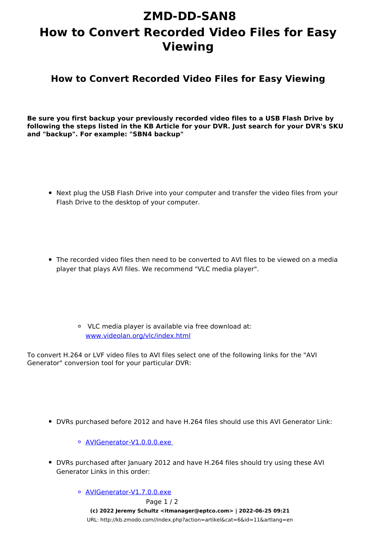## **ZMD-DD-SAN8 How to Convert Recorded Video Files for Easy Viewing**

**How to Convert Recorded Video Files for Easy Viewing**

**Be sure you first backup your previously recorded video files to a USB Flash Drive by following the steps listed in the KB Article for your DVR. Just search for your DVR's SKU and "backup". For example: "SBN4 backup"**

- Next plug the USB Flash Drive into your computer and transfer the video files from your Flash Drive to the desktop of your computer.
- The recorded video files then need to be converted to AVI files to be viewed on a media player that plays AVI files. We recommend "VLC media player".
	- VLC media player is available via free download at: [www.videolan.org/vlc/index.html](http://www.videolan.org/vlc/index.html)

To convert H.264 or LVF video files to AVI files select one of the following links for the "AVI Generator" conversion tool for your particular DVR:

DVRs purchased before 2012 and have H.264 files should use this AVI Generator Link:

[AVIGenerator-V1.0.0.0.exe](https://dl.dropbox.com/u/72446397/AVIGenerator-V1.0.0.0.exe) 

- DVRs purchased after January 2012 and have H.264 files should try using these AVI Generator Links in this order:
	- o [AVIGenerator-V1.7.0.0.exe](https://dl.dropbox.com/u/72446397/AVIGenerator-V1.7.0.0.exe) Page 1 / 2 **(c) 2022 Jeremy Schultz <itmanager@eptco.com> | 2022-06-25 09:21** [URL: http://kb.zmodo.com//index.php?action=artikel&cat=6&id=11&artlang=en](http://kb.zmodo.com//index.php?action=artikel&cat=6&id=11&artlang=en)